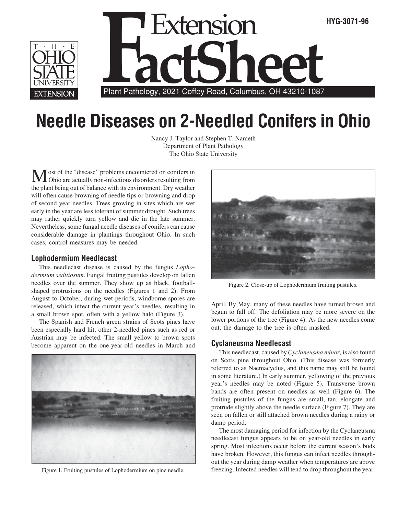

# **Needle Diseases on 2-Needled Conifers in Ohio**

Nancy J. Taylor and Stephen T. Nameth Department of Plant Pathology The Ohio State University

Most of the "disease" problems encountered on conifers in Ohio are actually non-infectious disorders resulting from the plant being out of balance with its environment. Dry weather will often cause browning of needle tips or browning and drop of second year needles. Trees growing in sites which are wet early in the year are less tolerant of summer drought. Such trees may rather quickly turn yellow and die in the late summer. Nevertheless, some fungal needle diseases of conifers can cause considerable damage in plantings throughout Ohio. In such cases, control measures may be needed.

#### **Lophodermium Needlecast**

This needlecast disease is caused by the fungus *Lophodermium seditiosum.* Fungal fruiting pustules develop on fallen needles over the summer. They show up as black, footballshaped protrusions on the needles (Figures 1 and 2). From August to October, during wet periods, windborne spores are released, which infect the current year's needles, resulting in a small brown spot, often with a yellow halo (Figure 3).

The Spanish and French green strains of Scots pines have been especially hard hit; other 2-needled pines such as red or Austrian may be infected. The small yellow to brown spots become apparent on the one-year-old needles in March and



Figure 1. Fruiting pustules of Lophodermium on pine needle.



Figure 2. Close-up of Lophodermium fruiting pustules.

April. By May, many of these needles have turned brown and begun to fall off. The defoliation may be more severe on the lower portions of the tree (Figure 4). As the new needles come out, the damage to the tree is often masked.

### **Cyclaneusma Needlecast**

This needlecast, caused by *Cyclaneusma minor,* is also found on Scots pine throughout Ohio. (This disease was formerly referred to as Naemacyclus, and this name may still be found in some literature.) In early summer, yellowing of the previous year's needles may be noted (Figure 5). Transverse brown bands are often present on needles as well (Figure 6). The fruiting pustules of the fungus are small, tan, elongate and protrude slightly above the needle surface (Figure 7). They are seen on fallen or still attached brown needles during a rainy or damp period.

The most damaging period for infection by the Cyclaneusma needlecast fungus appears to be on year-old needles in early spring. Most infections occur before the current season's buds have broken. However, this fungus can infect needles throughout the year during damp weather when temperatures are above freezing. Infected needles will tend to drop throughout the year.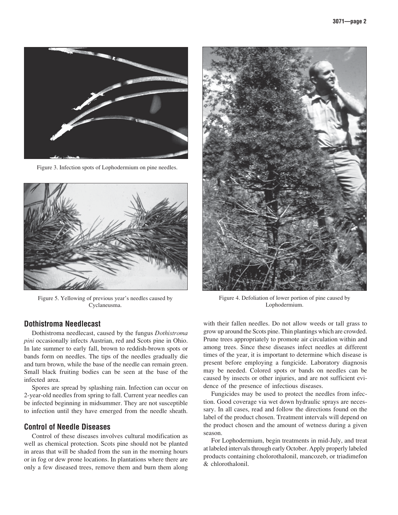

Figure 3. Infection spots of Lophodermium on pine needles.



Figure 5. Yellowing of previous year's needles caused by Cyclaneusma.

#### **Dothistroma Needlecast**

Dothistroma needlecast, caused by the fungus *Dothistroma pini* occasionally infects Austrian, red and Scots pine in Ohio. In late summer to early fall, brown to reddish-brown spots or bands form on needles. The tips of the needles gradually die and turn brown, while the base of the needle can remain green. Small black fruiting bodies can be seen at the base of the infected area.

Spores are spread by splashing rain. Infection can occur on 2-year-old needles from spring to fall. Current year needles can be infected beginning in midsummer. They are not susceptible to infection until they have emerged from the needle sheath.

## **Control of Needle Diseases**

Control of these diseases involves cultural modification as well as chemical protection. Scots pine should not be planted in areas that will be shaded from the sun in the morning hours or in fog or dew prone locations. In plantations where there are only a few diseased trees, remove them and burn them along



Figure 4. Defoliation of lower portion of pine caused by Lophodermium.

with their fallen needles. Do not allow weeds or tall grass to grow up around the Scots pine. Thin plantings which are crowded. Prune trees appropriately to promote air circulation within and among trees. Since these diseases infect needles at different times of the year, it is important to determine which disease is present before employing a fungicide. Laboratory diagnosis may be needed. Colored spots or bands on needles can be caused by insects or other injuries, and are not sufficient evidence of the presence of infectious diseases.

Fungicides may be used to protect the needles from infection. Good coverage via wet down hydraulic sprays are necessary. In all cases, read and follow the directions found on the label of the product chosen. Treatment intervals will depend on the product chosen and the amount of wetness during a given season.

For Lophodermium, begin treatments in mid-July, and treat at labeled intervals through early October. Apply properly labeled products containing cholorothalonil, mancozeb, or triadimefon & chlorothalonil.